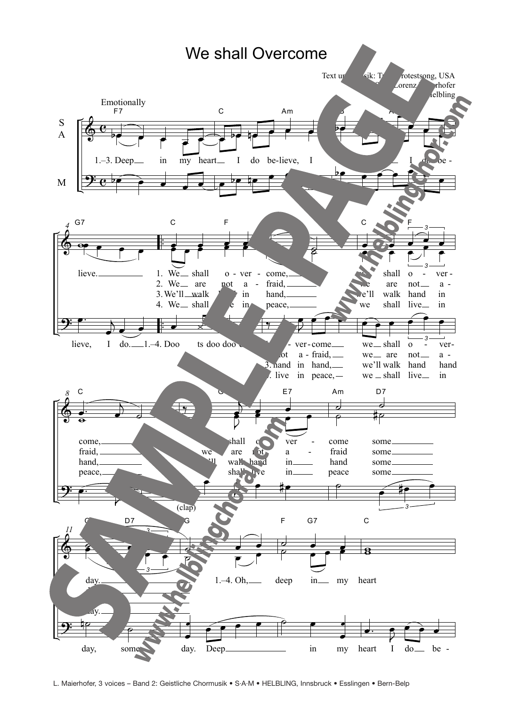